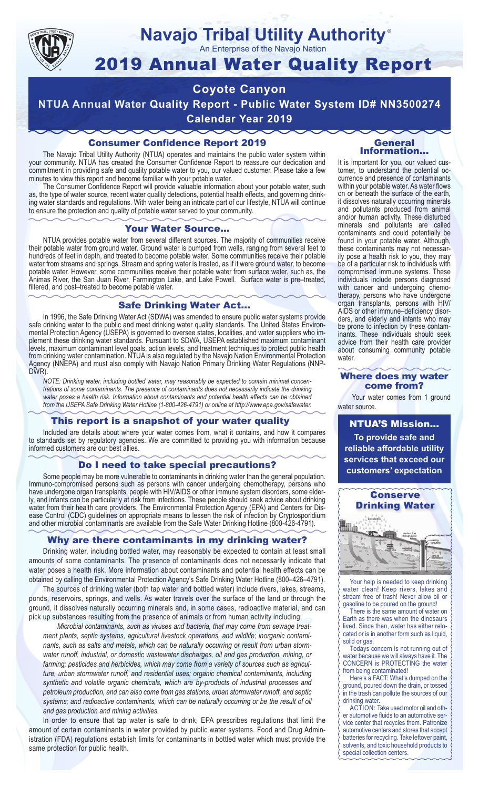

## **Navajo Tribal Utility Authority** ®

An Enterprise of the Navajo Nation

# 2019 Annual Water Quality Report

# **Coyote Canyon**

**NTUA Annual Water Quality Report - Public Water System ID# NN3500274 Calendar Year 2019**

## Consumer Confidence Report 2019

The Navajo Tribal Utility Authority (NTUA) operates and maintains the public water system within your community. NTUA has created the Consumer Confidence Report to reassure our dedication and commitment in providing safe and quality potable water to you, our valued customer. Please take a few minutes to view this report and become familiar with your potable water.

The Consumer Confidence Report will provide valuable information about your potable water, such as, the type of water source, recent water quality detections, potential health effects, and governing drinking water standards and regulations. With water being an intricate part of our lifestyle, NTUA will continue to ensure the protection and quality of potable water served to your community.

#### Your Water Source…

NTUA provides potable water from several different sources. The majority of communities receive their potable water from ground water. Ground water is pumped from wells, ranging from several feet to hundreds of feet in depth, and treated to become potable water. Some communities receive their potable water from streams and springs. Stream and spring water is treated, as if it were ground water, to become potable water. However, some communities receive their potable water from surface water, such as, the Animas River, the San Juan River, Farmington Lake, and Lake Powell. Surface water is pre–treated, filtered, and post–treated to become potable water.

#### Safe Drinking Water Act…

In 1996, the Safe Drinking Water Act (SDWA) was amended to ensure public water systems provide safe drinking water to the public and meet drinking water quality standards. The United States Environmental Protection Agency (USEPA) is governed to oversee states, localities, and water suppliers who implement these drinking water standards. Pursuant to SDWA, USEPA established maximum contaminant levels, maximum contaminant level goals, action levels, and treatment techniques to protect public health from drinking water contamination. NTUA is also regulated by the Navajo Nation Environmental Protection Agency (NNEPA) and must also comply with Navajo Nation Primary Drinking Water Regulations (NNP-DWR)

*NOTE: Drinking water, including bottled water, may reasonably be expected to contain minimal concentrations of some contaminants. The presence of contaminants does not necessarily indicate the drinking water poses a health risk. Information about contaminants and potential health effects can be obtained from the USEPA Safe Drinking Water Hotline (1-800-426-4791) or online at http://www.epa.gov/safewater.*

### This report is a snapshot of your water quality

Included are details about where your water comes from, what it contains, and how it compares to standards set by regulatory agencies. We are committed to providing you with information because informed customers are our best allies.

#### Do I need to take special precautions?

Some people may be more vulnerable to contaminants in drinking water than the general population. Immuno-compromised persons such as persons with cancer undergoing chemotherapy, persons who have undergone organ transplants, people with HIV/AIDS or other immune system disorders, some elderly, and infants can be particularly at risk from infections. These people should seek advice about drinking water from their health care providers. The Environmental Protection Agency (EPA) and Centers for Disease Control (CDC) guidelines on appropriate means to lessen the risk of infection by Cryptosporidium and other microbial contaminants are available from the Safe Water Drinking Hotline (800-426-4791).

### Why are there contaminants in my drinking water?

Drinking water, including bottled water, may reasonably be expected to contain at least small amounts of some contaminants. The presence of contaminants does not necessarily indicate that water poses a health risk. More information about contaminants and potential health effects can be obtained by calling the Environmental Protection Agency's Safe Drinking Water Hotline (800–426–4791).

The sources of drinking water (both tap water and bottled water) include rivers, lakes, streams, ponds, reservoirs, springs, and wells. As water travels over the surface of the land or through the ground, it dissolves naturally occurring minerals and, in some cases, radioactive material, and can pick up substances resulting from the presence of animals or from human activity including:

*Microbial contaminants, such as viruses and bacteria, that may come from sewage treatment plants, septic systems, agricultural livestock operations, and wildlife; inorganic contaminants, such as salts and metals, which can be naturally occurring or result from urban stormwater runoff, industrial, or domestic wastewater discharges, oil and gas production, mining, or farming; pesticides and herbicides, which may come from a variety of sources such as agriculture, urban stormwater runoff, and residential uses; organic chemical contaminants, including synthetic and volatile organic chemicals, which are by-products of industrial processes and petroleum production, and can also come from gas stations, urban stormwater runoff, and septic systems; and radioactive contaminants, which can be naturally occurring or be the result of oil and gas production and mining activities.*

In order to ensure that tap water is safe to drink, EPA prescribes regulations that limit the amount of certain contaminants in water provided by public water systems. Food and Drug Administration (FDA) regulations establish limits for contaminants in bottled water which must provide the same protection for public health.

#### General Information…

It is important for you, our valued customer, to understand the potential occurrence and presence of contaminants within your potable water. As water flows on or beneath the surface of the earth, it dissolves naturally occurring minerals and pollutants produced from animal and/or human activity. These disturbed minerals and pollutants are called contaminants and could potentially be found in your potable water. Although, these contaminants may not necessarily pose a health risk to you, they may be of a particular risk to individuals with compromised immune systems. These individuals include persons diagnosed with cancer and undergoing chemo-<br>therapy, persons who have undergone organ transplants, persons with HIV/ AIDS or other immune–deficiency disor- ders, and elderly and infants who may be prone to infection by these contam- inants. These individuals should seek advice from their health care provider about consuming community potable water.

#### Where does my water come from?

Your water comes from 1 ground water source.

NTUA'S Mission... **To provide safe and reliable affordable utility services that exceed our customers' expectation**



Your help is needed to keep drinking water clean! Keep rivers, lakes and stream free of trash! Never allow oil or gasoline to be poured on the ground!

There is the same amount of water on Earth as there was when the dinosaurs lived. Since then, water has either relocated or is in another form such as liquid, solid or gas.

Todays concern is not running out of water because we will always have it. The CONCERN is PROTECTING the water from being contaminated!

Here's a FACT: What's dumped on the ground, poured down the drain, or tossed in the trash can pollute the sources of our drinking water.

ACTION: Take used motor oil and other automotive fluids to an automotive service center that recycles them. Patronize automotive centers and stores that accept batteries for recycling. Take leftover paint, solvents, and toxic household products to special collection centers.